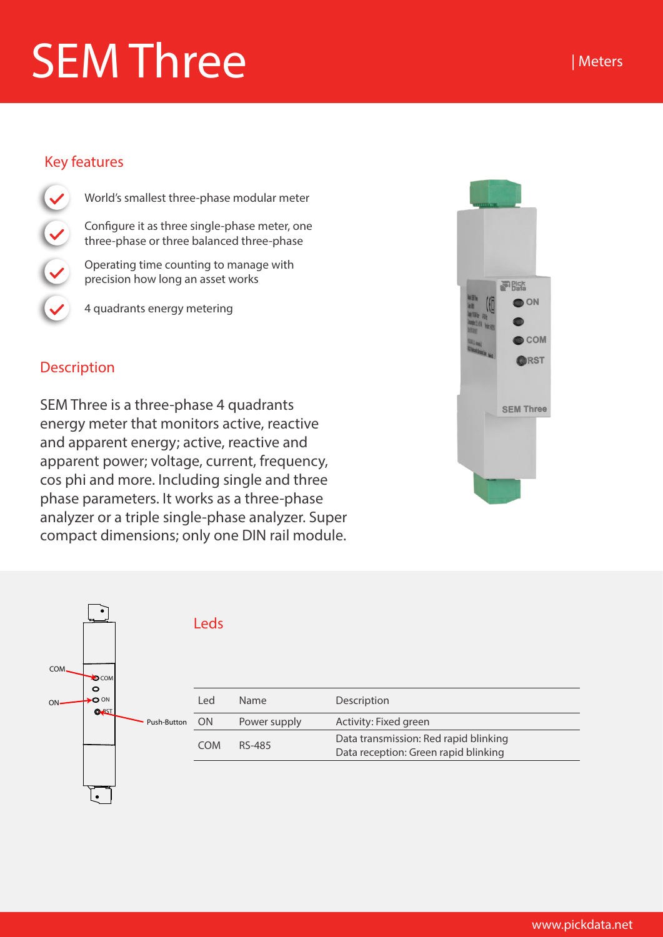## SEM Three

## Key features

- World's smallest three-phase modular meter Configure it as three single-phase meter, one three-phase or three balanced three-phase Operating time counting to manage with precision how long an asset works
	- 4 quadrants energy metering

## **Description**

SEM Three is a three-phase 4 quadrants energy meter that monitors active, reactive and apparent energy; active, reactive and apparent power; voltage, current, frequency, cos phi and more. Including single and three phase parameters. It works as a three-phase analyzer or a triple single-phase analyzer. Super compact dimensions; only one DIN rail module.